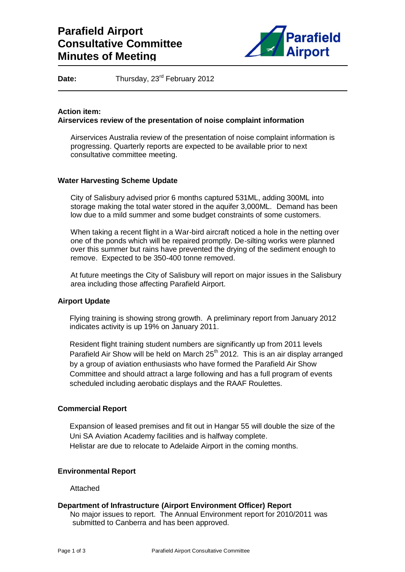

Date: Thursday, 23<sup>rd</sup> February 2012

## **Action item: Airservices review of the presentation of noise complaint information**

Airservices Australia review of the presentation of noise complaint information is progressing. Quarterly reports are expected to be available prior to next consultative committee meeting.

### **Water Harvesting Scheme Update**

City of Salisbury advised prior 6 months captured 531ML, adding 300ML into storage making the total water stored in the aquifer 3,000ML. Demand has been low due to a mild summer and some budget constraints of some customers.

When taking a recent flight in a War-bird aircraft noticed a hole in the netting over one of the ponds which will be repaired promptly. De-silting works were planned over this summer but rains have prevented the drying of the sediment enough to remove. Expected to be 350-400 tonne removed.

At future meetings the City of Salisbury will report on major issues in the Salisbury area including those affecting Parafield Airport.

## **Airport Update**

Flying training is showing strong growth. A preliminary report from January 2012 indicates activity is up 19% on January 2011.

Resident flight training student numbers are significantly up from 2011 levels Parafield Air Show will be held on March  $25<sup>th</sup>$  2012. This is an air display arranged by a group of aviation enthusiasts who have formed the Parafield Air Show Committee and should attract a large following and has a full program of events scheduled including aerobatic displays and the RAAF Roulettes.

## **Commercial Report**

Expansion of leased premises and fit out in Hangar 55 will double the size of the Uni SA Aviation Academy facilities and is halfway complete. Helistar are due to relocate to Adelaide Airport in the coming months.

#### **Environmental Report**

Attached

## **Department of Infrastructure (Airport Environment Officer) Report**

No major issues to report. The Annual Environment report for 2010/2011 was submitted to Canberra and has been approved.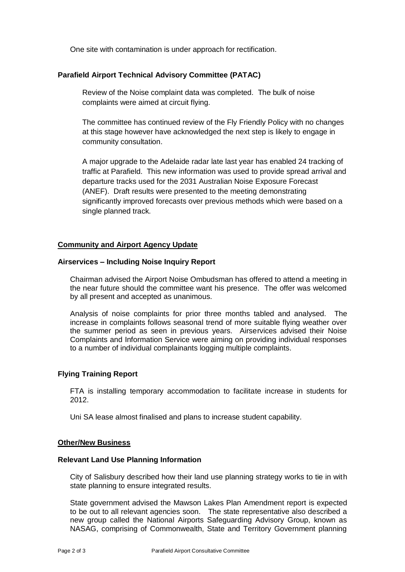One site with contamination is under approach for rectification.

# **Parafield Airport Technical Advisory Committee (PATAC)**

Review of the Noise complaint data was completed. The bulk of noise complaints were aimed at circuit flying.

The committee has continued review of the Fly Friendly Policy with no changes at this stage however have acknowledged the next step is likely to engage in community consultation.

A major upgrade to the Adelaide radar late last year has enabled 24 tracking of traffic at Parafield. This new information was used to provide spread arrival and departure tracks used for the 2031 Australian Noise Exposure Forecast (ANEF). Draft results were presented to the meeting demonstrating significantly improved forecasts over previous methods which were based on a single planned track.

### **Community and Airport Agency Update**

### **Airservices – Including Noise Inquiry Report**

Chairman advised the Airport Noise Ombudsman has offered to attend a meeting in the near future should the committee want his presence. The offer was welcomed by all present and accepted as unanimous.

Analysis of noise complaints for prior three months tabled and analysed. The increase in complaints follows seasonal trend of more suitable flying weather over the summer period as seen in previous years. Airservices advised their Noise Complaints and Information Service were aiming on providing individual responses to a number of individual complainants logging multiple complaints.

## **Flying Training Report**

FTA is installing temporary accommodation to facilitate increase in students for 2012.

Uni SA lease almost finalised and plans to increase student capability.

#### **Other/New Business**

#### **Relevant Land Use Planning Information**

City of Salisbury described how their land use planning strategy works to tie in with state planning to ensure integrated results.

State government advised the Mawson Lakes Plan Amendment report is expected to be out to all relevant agencies soon. The state representative also described a new group called the National Airports Safeguarding Advisory Group, known as NASAG, comprising of Commonwealth, State and Territory Government planning